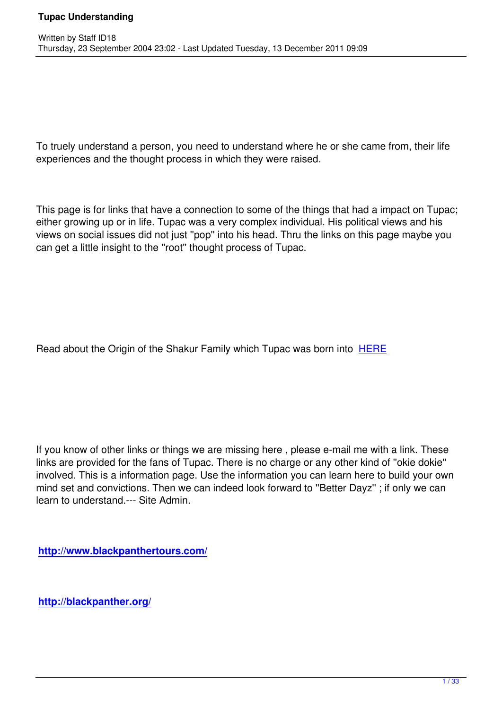Written by Staff ID188, which is a staff in the staff in the staff in the staff in the staff in the staff in the staff in the staff in the staff in the staff in the staff in the staff in the staff in the staff in the staff

To truely understand a person, you need to understand where he or she came from, their life experiences and the thought process in which they were raised.

This page is for links that have a connection to some of the things that had a impact on Tupac; either growing up or in life. Tupac was a very complex individual. His political views and his views on social issues did not just ''pop'' into his head. Thru the links on this page maybe you can get a little insight to the ''root'' thought process of Tupac.

Read about the Origin of the Shakur Family which Tupac was born into HERE

If you know of other links or things we are missing here , please e-mail me with a link. These links are provided for the fans of Tupac. There is no charge or any other kind of ''okie dokie'' involved. This is a information page. Use the information you can learn here to build your own mind set and convictions. Then we can indeed look forward to ''Better Dayz'' ; if only we can learn to understand.--- Site Admin.

**http://www.blackpanthertours.com/**

**[http://blackpanther.org/](http://www.blackpanthertours.com/)**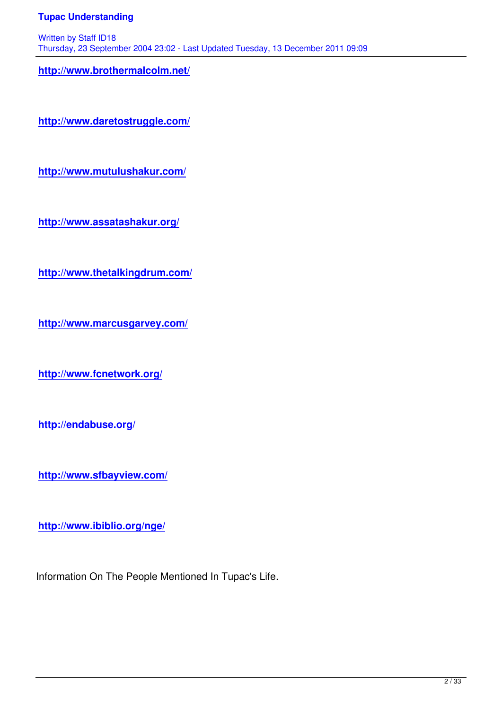**http://www.brothermalcolm.net/**

**[http://www.daretostruggle.com/](http://www.brothermalcolm.net/)**

**[http://www.mutulushakur.com/](http://www.daretostruggle.com/)**

**[http://www.assatashakur.org/](http://www.mutulushakur.com/)**

**[http://www.thetalkingdrum.co](http://www.assatashakur.org/)m/**

**[http://www.marcusgarvey.com/](http://www.thetalkingdrum.com/)**

**[http://www.fcnetwork.org/](http://www.marcusgarvey.com/)**

**[http://endabuse.org/](http://www.fcnetwork.org/)**

**[http://www.sfbayview](http://endabuse.org/).com/**

**[http://www.ibiblio.org/nge/](http://www.sfbayview.com/)**

[Information On The People M](http://www.ibiblio.org/nge/)entioned In Tupac's Life.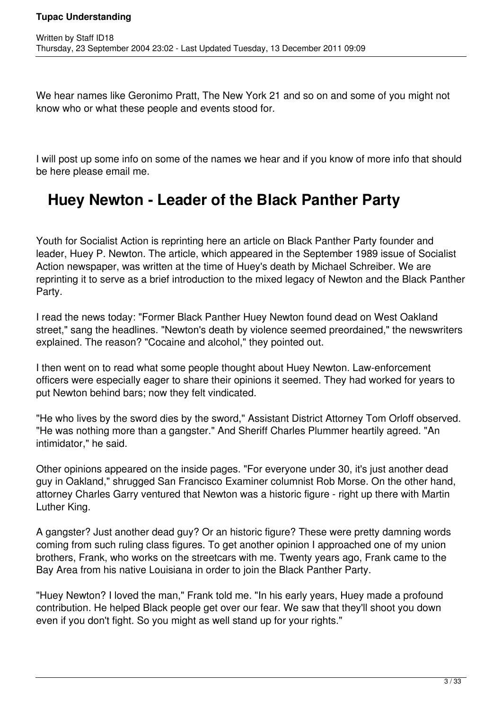We hear names like Geronimo Pratt, The New York 21 and so on and some of you might not know who or what these people and events stood for.

I will post up some info on some of the names we hear and if you know of more info that should be here please email me.

# **Huey Newton - Leader of the Black Panther Party**

Youth for Socialist Action is reprinting here an article on Black Panther Party founder and leader, Huey P. Newton. The article, which appeared in the September 1989 issue of Socialist Action newspaper, was written at the time of Huey's death by Michael Schreiber. We are reprinting it to serve as a brief introduction to the mixed legacy of Newton and the Black Panther Party.

I read the news today: "Former Black Panther Huey Newton found dead on West Oakland street," sang the headlines. "Newton's death by violence seemed preordained," the newswriters explained. The reason? "Cocaine and alcohol," they pointed out.

I then went on to read what some people thought about Huey Newton. Law-enforcement officers were especially eager to share their opinions it seemed. They had worked for years to put Newton behind bars; now they felt vindicated.

"He who lives by the sword dies by the sword," Assistant District Attorney Tom Orloff observed. "He was nothing more than a gangster." And Sheriff Charles Plummer heartily agreed. "An intimidator," he said.

Other opinions appeared on the inside pages. "For everyone under 30, it's just another dead guy in Oakland," shrugged San Francisco Examiner columnist Rob Morse. On the other hand, attorney Charles Garry ventured that Newton was a historic figure - right up there with Martin Luther King.

A gangster? Just another dead guy? Or an historic figure? These were pretty damning words coming from such ruling class figures. To get another opinion I approached one of my union brothers, Frank, who works on the streetcars with me. Twenty years ago, Frank came to the Bay Area from his native Louisiana in order to join the Black Panther Party.

"Huey Newton? I loved the man," Frank told me. "In his early years, Huey made a profound contribution. He helped Black people get over our fear. We saw that they'll shoot you down even if you don't fight. So you might as well stand up for your rights."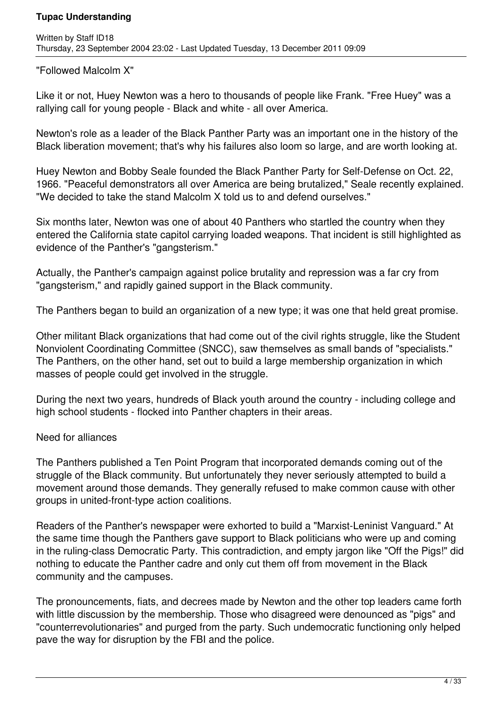"Followed Malcolm X"

Like it or not, Huey Newton was a hero to thousands of people like Frank. "Free Huey" was a rallying call for young people - Black and white - all over America.

Newton's role as a leader of the Black Panther Party was an important one in the history of the Black liberation movement; that's why his failures also loom so large, and are worth looking at.

Huey Newton and Bobby Seale founded the Black Panther Party for Self-Defense on Oct. 22, 1966. "Peaceful demonstrators all over America are being brutalized," Seale recently explained. "We decided to take the stand Malcolm X told us to and defend ourselves."

Six months later, Newton was one of about 40 Panthers who startled the country when they entered the California state capitol carrying loaded weapons. That incident is still highlighted as evidence of the Panther's "gangsterism."

Actually, the Panther's campaign against police brutality and repression was a far cry from "gangsterism," and rapidly gained support in the Black community.

The Panthers began to build an organization of a new type; it was one that held great promise.

Other militant Black organizations that had come out of the civil rights struggle, like the Student Nonviolent Coordinating Committee (SNCC), saw themselves as small bands of "specialists." The Panthers, on the other hand, set out to build a large membership organization in which masses of people could get involved in the struggle.

During the next two years, hundreds of Black youth around the country - including college and high school students - flocked into Panther chapters in their areas.

#### Need for alliances

The Panthers published a Ten Point Program that incorporated demands coming out of the struggle of the Black community. But unfortunately they never seriously attempted to build a movement around those demands. They generally refused to make common cause with other groups in united-front-type action coalitions.

Readers of the Panther's newspaper were exhorted to build a "Marxist-Leninist Vanguard." At the same time though the Panthers gave support to Black politicians who were up and coming in the ruling-class Democratic Party. This contradiction, and empty jargon like "Off the Pigs!" did nothing to educate the Panther cadre and only cut them off from movement in the Black community and the campuses.

The pronouncements, fiats, and decrees made by Newton and the other top leaders came forth with little discussion by the membership. Those who disagreed were denounced as "pigs" and "counterrevolutionaries" and purged from the party. Such undemocratic functioning only helped pave the way for disruption by the FBI and the police.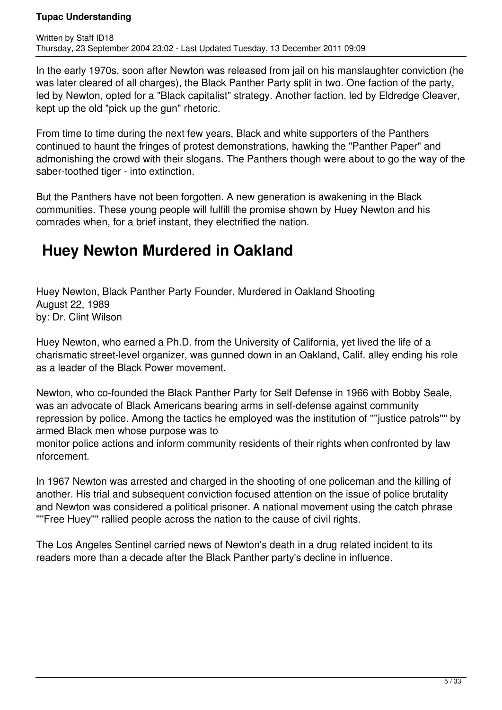In the early 1970s, soon after Newton was released from jail on his manslaughter conviction (he was later cleared of all charges), the Black Panther Party split in two. One faction of the party, led by Newton, opted for a "Black capitalist" strategy. Another faction, led by Eldredge Cleaver, kept up the old "pick up the gun" rhetoric.

From time to time during the next few years, Black and white supporters of the Panthers continued to haunt the fringes of protest demonstrations, hawking the "Panther Paper" and admonishing the crowd with their slogans. The Panthers though were about to go the way of the saber-toothed tiger - into extinction.

But the Panthers have not been forgotten. A new generation is awakening in the Black communities. These young people will fulfill the promise shown by Huey Newton and his comrades when, for a brief instant, they electrified the nation.

# **Huey Newton Murdered in Oakland**

Huey Newton, Black Panther Party Founder, Murdered in Oakland Shooting August 22, 1989 by: Dr. Clint Wilson

Huey Newton, who earned a Ph.D. from the University of California, yet lived the life of a charismatic street-level organizer, was gunned down in an Oakland, Calif. alley ending his role as a leader of the Black Power movement.

Newton, who co-founded the Black Panther Party for Self Defense in 1966 with Bobby Seale, was an advocate of Black Americans bearing arms in self-defense against community repression by police. Among the tactics he employed was the institution of ''''justice patrols'''' by armed Black men whose purpose was to

monitor police actions and inform community residents of their rights when confronted by law nforcement.

In 1967 Newton was arrested and charged in the shooting of one policeman and the killing of another. His trial and subsequent conviction focused attention on the issue of police brutality and Newton was considered a political prisoner. A national movement using the catch phrase ''''Free Huey'''' rallied people across the nation to the cause of civil rights.

The Los Angeles Sentinel carried news of Newton's death in a drug related incident to its readers more than a decade after the Black Panther party's decline in influence.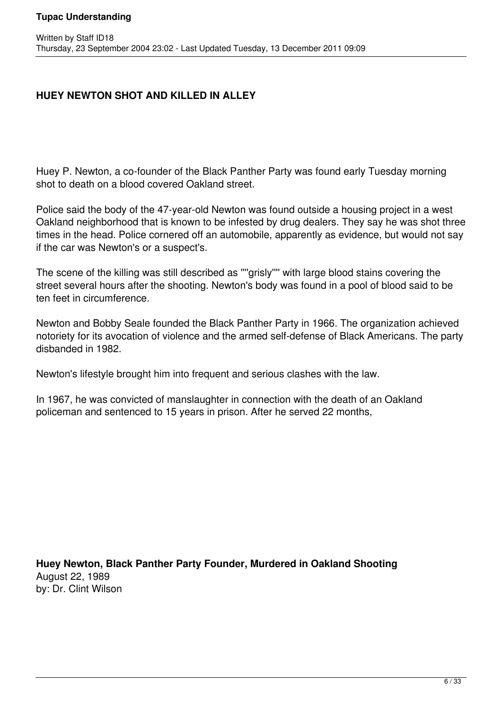### **HUEY NEWTON SHOT AND KILLED IN ALLEY**

Huey P. Newton, a co-founder of the Black Panther Party was found early Tuesday morning shot to death on a blood covered Oakland street.

Police said the body of the 47-year-old Newton was found outside a housing project in a west Oakland neighborhood that is known to be infested by drug dealers. They say he was shot three times in the head. Police cornered off an automobile, apparently as evidence, but would not say if the car was Newton's or a suspect's.

The scene of the killing was still described as ""grisly"" with large blood stains covering the street several hours after the shooting. Newton's body was found in a pool of blood said to be ten feet in circumference.

Newton and Bobby Seale founded the Black Panther Party in 1966. The organization achieved notoriety for its avocation of violence and the armed self-defense of Black Americans. The party disbanded in 1982.

Newton's lifestyle brought him into frequent and serious clashes with the law.

In 1967, he was convicted of manslaughter in connection with the death of an Oakland policeman and sentenced to 15 years in prison. After he served 22 months,

**Huey Newton, Black Panther Party Founder, Murdered in Oakland Shooting** August 22, 1989 by: Dr. Clint Wilson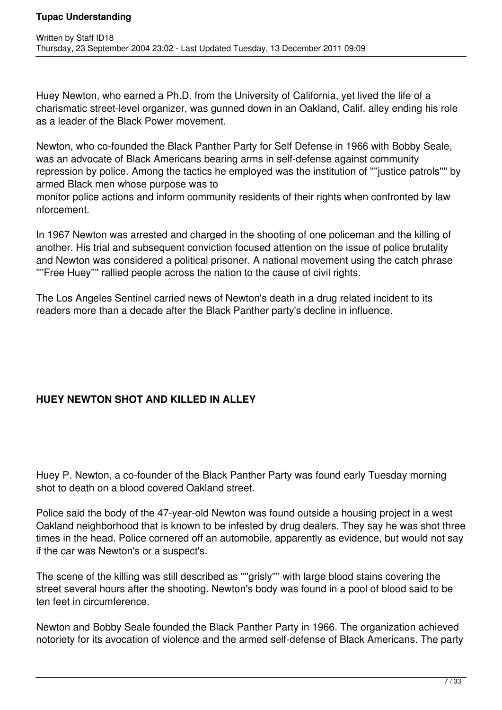Huey Newton, who earned a Ph.D. from the University of California, yet lived the life of a charismatic street-level organizer, was gunned down in an Oakland, Calif. alley ending his role as a leader of the Black Power movement.

Newton, who co-founded the Black Panther Party for Self Defense in 1966 with Bobby Seale, was an advocate of Black Americans bearing arms in self-defense against community repression by police. Among the tactics he employed was the institution of ''''justice patrols'''' by armed Black men whose purpose was to

monitor police actions and inform community residents of their rights when confronted by law nforcement.

In 1967 Newton was arrested and charged in the shooting of one policeman and the killing of another. His trial and subsequent conviction focused attention on the issue of police brutality and Newton was considered a political prisoner. A national movement using the catch phrase ''''Free Huey'''' rallied people across the nation to the cause of civil rights.

The Los Angeles Sentinel carried news of Newton's death in a drug related incident to its readers more than a decade after the Black Panther party's decline in influence.

### **HUEY NEWTON SHOT AND KILLED IN ALLEY**

Huey P. Newton, a co-founder of the Black Panther Party was found early Tuesday morning shot to death on a blood covered Oakland street.

Police said the body of the 47-year-old Newton was found outside a housing project in a west Oakland neighborhood that is known to be infested by drug dealers. They say he was shot three times in the head. Police cornered off an automobile, apparently as evidence, but would not say if the car was Newton's or a suspect's.

The scene of the killing was still described as ""grisly"" with large blood stains covering the street several hours after the shooting. Newton's body was found in a pool of blood said to be ten feet in circumference.

Newton and Bobby Seale founded the Black Panther Party in 1966. The organization achieved notoriety for its avocation of violence and the armed self-defense of Black Americans. The party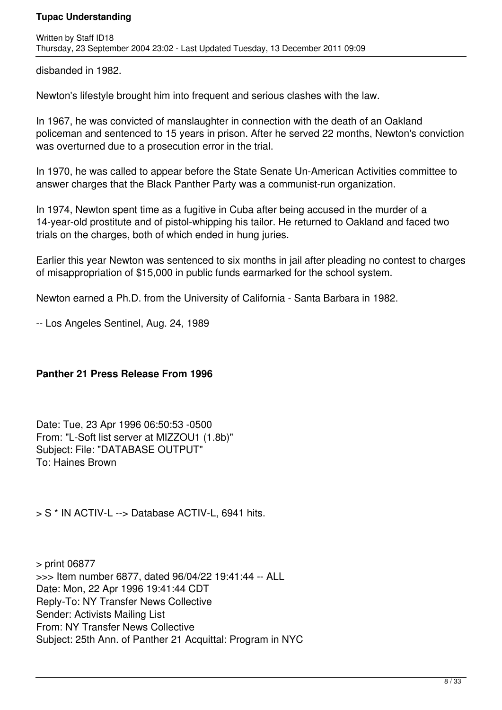disbanded in 1982.

Newton's lifestyle brought him into frequent and serious clashes with the law.

In 1967, he was convicted of manslaughter in connection with the death of an Oakland policeman and sentenced to 15 years in prison. After he served 22 months, Newton's conviction was overturned due to a prosecution error in the trial.

In 1970, he was called to appear before the State Senate Un-American Activities committee to answer charges that the Black Panther Party was a communist-run organization.

In 1974, Newton spent time as a fugitive in Cuba after being accused in the murder of a 14-year-old prostitute and of pistol-whipping his tailor. He returned to Oakland and faced two trials on the charges, both of which ended in hung juries.

Earlier this year Newton was sentenced to six months in jail after pleading no contest to charges of misappropriation of \$15,000 in public funds earmarked for the school system.

Newton earned a Ph.D. from the University of California - Santa Barbara in 1982.

-- Los Angeles Sentinel, Aug. 24, 1989

#### **Panther 21 Press Release From 1996**

Date: Tue, 23 Apr 1996 06:50:53 -0500 From: "L-Soft list server at MIZZOU1 (1.8b)" Subject: File: "DATABASE OUTPUT" To: Haines Brown

> S \* IN ACTIV-L --> Database ACTIV-L, 6941 hits.

> print 06877 >>> Item number 6877, dated 96/04/22 19:41:44 -- ALL Date: Mon, 22 Apr 1996 19:41:44 CDT Reply-To: NY Transfer News Collective Sender: Activists Mailing List From: NY Transfer News Collective Subject: 25th Ann. of Panther 21 Acquittal: Program in NYC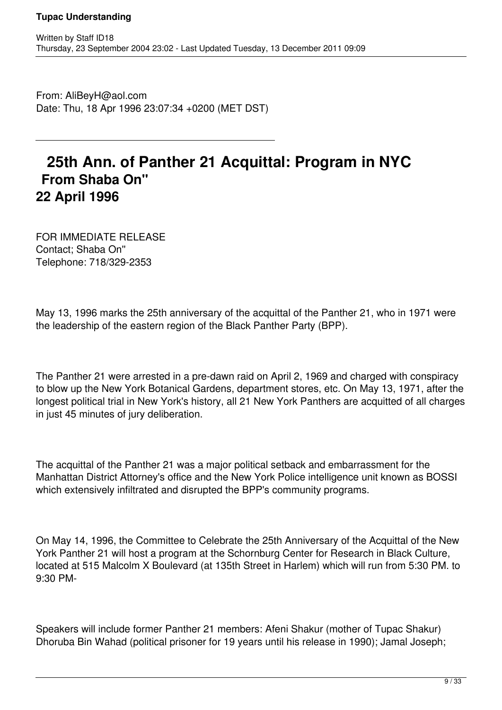From: AliBeyH@aol.com Date: Thu, 18 Apr 1996 23:07:34 +0200 (MET DST)

## **25th Ann. of Panther 21 Acquittal: Program in NYC From Shaba On'' 22 April 1996**

FOR IMMEDIATE RELEASE Contact; Shaba On'' Telephone: 718/329-2353

May 13, 1996 marks the 25th anniversary of the acquittal of the Panther 21, who in 1971 were the leadership of the eastern region of the Black Panther Party (BPP).

The Panther 21 were arrested in a pre-dawn raid on April 2, 1969 and charged with conspiracy to blow up the New York Botanical Gardens, department stores, etc. On May 13, 1971, after the longest political trial in New York's history, all 21 New York Panthers are acquitted of all charges in just 45 minutes of jury deliberation.

The acquittal of the Panther 21 was a major political setback and embarrassment for the Manhattan District Attorney's office and the New York Police intelligence unit known as BOSSI which extensively infiltrated and disrupted the BPP's community programs.

On May 14, 1996, the Committee to Celebrate the 25th Anniversary of the Acquittal of the New York Panther 21 will host a program at the Schornburg Center for Research in Black Culture, located at 515 Malcolm X Boulevard (at 135th Street in Harlem) which will run from 5:30 PM. to 9:30 PM-

Speakers will include former Panther 21 members: Afeni Shakur (mother of Tupac Shakur) Dhoruba Bin Wahad (political prisoner for 19 years until his release in 1990); Jamal Joseph;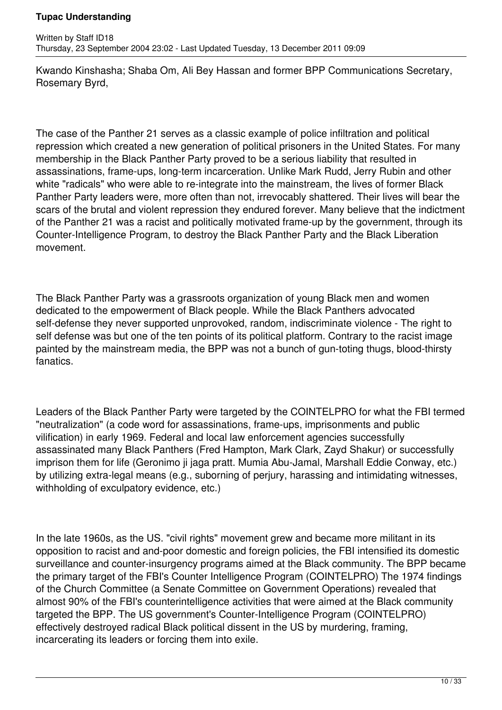Kwando Kinshasha; Shaba Om, Ali Bey Hassan and former BPP Communications Secretary, Rosemary Byrd,

The case of the Panther 21 serves as a classic example of police infiltration and political repression which created a new generation of political prisoners in the United States. For many membership in the Black Panther Party proved to be a serious liability that resulted in assassinations, frame-ups, long-term incarceration. Unlike Mark Rudd, Jerry Rubin and other white "radicals" who were able to re-integrate into the mainstream, the lives of former Black Panther Party leaders were, more often than not, irrevocably shattered. Their lives will bear the scars of the brutal and violent repression they endured forever. Many believe that the indictment of the Panther 21 was a racist and politically motivated frame-up by the government, through its Counter-Intelligence Program, to destroy the Black Panther Party and the Black Liberation movement.

The Black Panther Party was a grassroots organization of young Black men and women dedicated to the empowerment of Black people. While the Black Panthers advocated self-defense they never supported unprovoked, random, indiscriminate violence - The right to self defense was but one of the ten points of its political platform. Contrary to the racist image painted by the mainstream media, the BPP was not a bunch of gun-toting thugs, blood-thirsty fanatics.

Leaders of the Black Panther Party were targeted by the COINTELPRO for what the FBI termed "neutralization" (a code word for assassinations, frame-ups, imprisonments and public vilification) in early 1969. Federal and local law enforcement agencies successfully assassinated many Black Panthers (Fred Hampton, Mark Clark, Zayd Shakur) or successfully imprison them for life (Geronimo ji jaga pratt. Mumia Abu-Jamal, Marshall Eddie Conway, etc.) by utilizing extra-legal means (e.g., suborning of perjury, harassing and intimidating witnesses, withholding of exculpatory evidence, etc.)

In the late 1960s, as the US. "civil rights" movement grew and became more militant in its opposition to racist and and-poor domestic and foreign policies, the FBI intensified its domestic surveillance and counter-insurgency programs aimed at the Black community. The BPP became the primary target of the FBI's Counter Intelligence Program (COINTELPRO) The 1974 findings of the Church Committee (a Senate Committee on Government Operations) revealed that almost 90% of the FBI's counterintelligence activities that were aimed at the Black community targeted the BPP. The US government's Counter-Intelligence Program (COINTELPRO) effectively destroyed radical Black political dissent in the US by murdering, framing, incarcerating its leaders or forcing them into exile.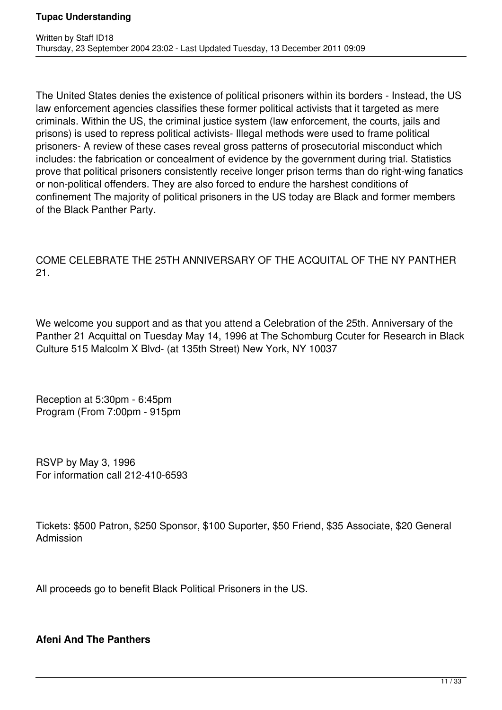The United States denies the existence of political prisoners within its borders - Instead, the US law enforcement agencies classifies these former political activists that it targeted as mere criminals. Within the US, the criminal justice system (law enforcement, the courts, jails and prisons) is used to repress political activists- Illegal methods were used to frame political prisoners- A review of these cases reveal gross patterns of prosecutorial misconduct which includes: the fabrication or concealment of evidence by the government during trial. Statistics prove that political prisoners consistently receive longer prison terms than do right-wing fanatics or non-political offenders. They are also forced to endure the harshest conditions of confinement The majority of political prisoners in the US today are Black and former members of the Black Panther Party.

### COME CELEBRATE THE 25TH ANNIVERSARY OF THE ACQUITAL OF THE NY PANTHER 21.

We welcome you support and as that you attend a Celebration of the 25th. Anniversary of the Panther 21 Acquittal on Tuesday May 14, 1996 at The Schomburg Ccuter for Research in Black Culture 515 Malcolm X Blvd- (at 135th Street) New York, NY 10037

Reception at 5:30pm - 6:45pm Program (From 7:00pm - 915pm

RSVP by May 3, 1996 For information call 212-410-6593

Tickets: \$500 Patron, \$250 Sponsor, \$100 Suporter, \$50 Friend, \$35 Associate, \$20 General Admission

All proceeds go to benefit Black Political Prisoners in the US.

### **Afeni And The Panthers**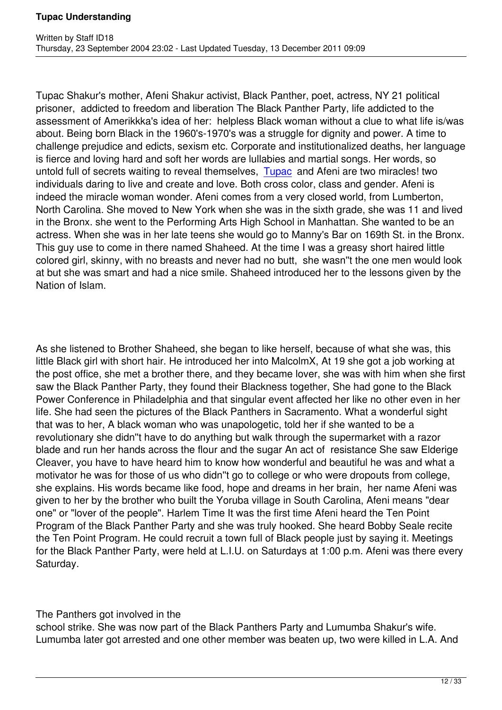Written by Staff ID188, which is a staff in the staff in the staff in the staff in the staff in the staff in the staff in the staff in the staff in the staff in the staff in the staff in the staff in the staff in the staff

Tupac Shakur's mother, Afeni Shakur activist, Black Panther, poet, actress, NY 21 political prisoner, addicted to freedom and liberation The Black Panther Party, life addicted to the assessment of Amerikkka's idea of her: helpless Black woman without a clue to what life is/was about. Being born Black in the 1960's-1970's was a struggle for dignity and power. A time to challenge prejudice and edicts, sexism etc. Corporate and institutionalized deaths, her language is fierce and loving hard and soft her words are lullabies and martial songs. Her words, so untold full of secrets waiting to reveal themselves, Tupac and Afeni are two miracles! two individuals daring to live and create and love. Both cross color, class and gender. Afeni is indeed the miracle woman wonder. Afeni comes from a very closed world, from Lumberton, North Carolina. She moved to New York when she [was in](http://www.thetalkingdrum.com/pac.html) the sixth grade, she was 11 and lived in the Bronx. she went to the Performing Arts High School in Manhattan. She wanted to be an actress. When she was in her late teens she would go to Manny's Bar on 169th St. in the Bronx. This guy use to come in there named Shaheed. At the time I was a greasy short haired little colored girl, skinny, with no breasts and never had no butt, she wasn''t the one men would look at but she was smart and had a nice smile. Shaheed introduced her to the lessons given by the Nation of Islam.

As she listened to Brother Shaheed, she began to like herself, because of what she was, this little Black girl with short hair. He introduced her into MalcolmX, At 19 she got a job working at the post office, she met a brother there, and they became lover, she was with him when she first saw the Black Panther Party, they found their Blackness together, She had gone to the Black Power Conference in Philadelphia and that singular event affected her like no other even in her life. She had seen the pictures of the Black Panthers in Sacramento. What a wonderful sight that was to her, A black woman who was unapologetic, told her if she wanted to be a revolutionary she didn''t have to do anything but walk through the supermarket with a razor blade and run her hands across the flour and the sugar An act of resistance She saw Elderige Cleaver, you have to have heard him to know how wonderful and beautiful he was and what a motivator he was for those of us who didn''t go to college or who were dropouts from college, she explains. His words became like food, hope and dreams in her brain, her name Afeni was given to her by the brother who built the Yoruba village in South Carolina, Afeni means "dear one" or "lover of the people". Harlem Time It was the first time Afeni heard the Ten Point Program of the Black Panther Party and she was truly hooked. She heard Bobby Seale recite the Ten Point Program. He could recruit a town full of Black people just by saying it. Meetings for the Black Panther Party, were held at L.I.U. on Saturdays at 1:00 p.m. Afeni was there every Saturday.

The Panthers got involved in the

school strike. She was now part of the Black Panthers Party and Lumumba Shakur's wife. Lumumba later got arrested and one other member was beaten up, two were killed in L.A. And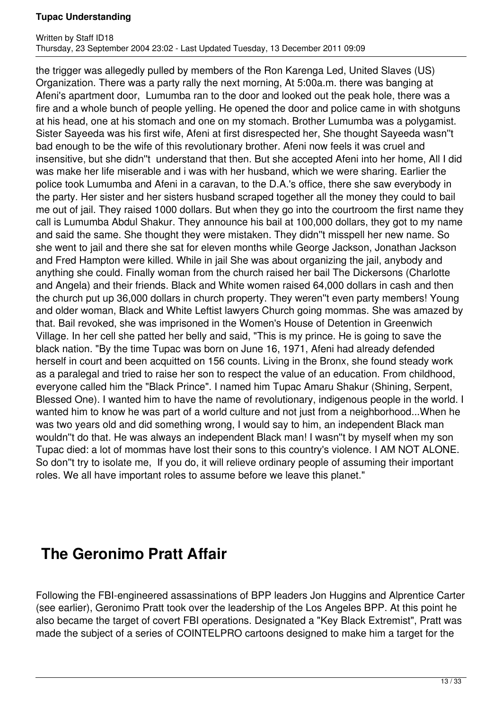the trigger was allegedly pulled by members of the Ron Karenga Led, United Slaves (US) Organization. There was a party rally the next morning, At 5:00a.m. there was banging at Afeni's apartment door, Lumumba ran to the door and looked out the peak hole, there was a fire and a whole bunch of people yelling. He opened the door and police came in with shotguns at his head, one at his stomach and one on my stomach. Brother Lumumba was a polygamist. Sister Sayeeda was his first wife, Afeni at first disrespected her, She thought Sayeeda wasn''t bad enough to be the wife of this revolutionary brother. Afeni now feels it was cruel and insensitive, but she didn''t understand that then. But she accepted Afeni into her home, All I did was make her life miserable and i was with her husband, which we were sharing. Earlier the police took Lumumba and Afeni in a caravan, to the D.A.'s office, there she saw everybody in the party. Her sister and her sisters husband scraped together all the money they could to bail me out of jail. They raised 1000 dollars. But when they go into the courtroom the first name they call is Lumumba Abdul Shakur. They announce his bail at 100,000 dollars, they got to my name and said the same. She thought they were mistaken. They didn''t misspell her new name. So she went to jail and there she sat for eleven months while George Jackson, Jonathan Jackson and Fred Hampton were killed. While in jail She was about organizing the jail, anybody and anything she could. Finally woman from the church raised her bail The Dickersons (Charlotte and Angela) and their friends. Black and White women raised 64,000 dollars in cash and then the church put up 36,000 dollars in church property. They weren''t even party members! Young and older woman, Black and White Leftist lawyers Church going mommas. She was amazed by that. Bail revoked, she was imprisoned in the Women's House of Detention in Greenwich Village. In her cell she patted her belly and said, "This is my prince. He is going to save the black nation. "By the time Tupac was born on June 16, 1971, Afeni had already defended herself in court and been acquitted on 156 counts. Living in the Bronx, she found steady work as a paralegal and tried to raise her son to respect the value of an education. From childhood, everyone called him the "Black Prince". I named him Tupac Amaru Shakur (Shining, Serpent, Blessed One). I wanted him to have the name of revolutionary, indigenous people in the world. I wanted him to know he was part of a world culture and not just from a neighborhood...When he was two years old and did something wrong, I would say to him, an independent Black man wouldn''t do that. He was always an independent Black man! I wasn''t by myself when my son Tupac died: a lot of mommas have lost their sons to this country's violence. I AM NOT ALONE. So don''t try to isolate me, If you do, it will relieve ordinary people of assuming their important roles. We all have important roles to assume before we leave this planet."

# **The Geronimo Pratt Affair**

Following the FBI-engineered assassinations of BPP leaders Jon Huggins and Alprentice Carter (see earlier), Geronimo Pratt took over the leadership of the Los Angeles BPP. At this point he also became the target of covert FBI operations. Designated a "Key Black Extremist", Pratt was made the subject of a series of COINTELPRO cartoons designed to make him a target for the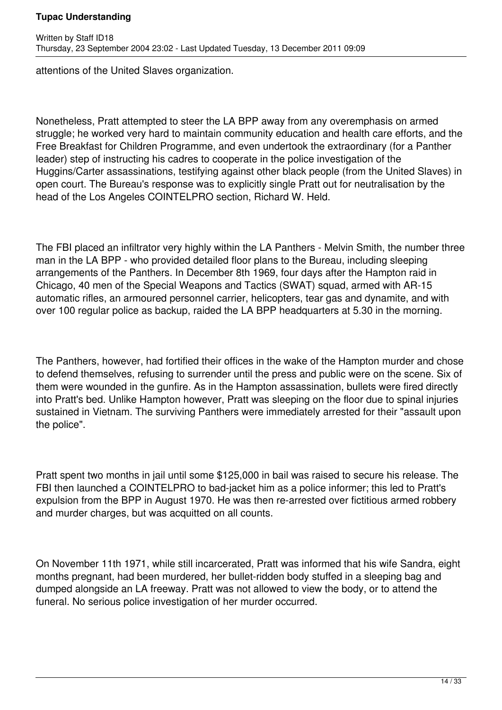attentions of the United Slaves organization.

Nonetheless, Pratt attempted to steer the LA BPP away from any overemphasis on armed struggle; he worked very hard to maintain community education and health care efforts, and the Free Breakfast for Children Programme, and even undertook the extraordinary (for a Panther leader) step of instructing his cadres to cooperate in the police investigation of the Huggins/Carter assassinations, testifying against other black people (from the United Slaves) in open court. The Bureau's response was to explicitly single Pratt out for neutralisation by the head of the Los Angeles COINTELPRO section, Richard W. Held.

The FBI placed an infiltrator very highly within the LA Panthers - Melvin Smith, the number three man in the LA BPP - who provided detailed floor plans to the Bureau, including sleeping arrangements of the Panthers. In December 8th 1969, four days after the Hampton raid in Chicago, 40 men of the Special Weapons and Tactics (SWAT) squad, armed with AR-15 automatic rifles, an armoured personnel carrier, helicopters, tear gas and dynamite, and with over 100 regular police as backup, raided the LA BPP headquarters at 5.30 in the morning.

The Panthers, however, had fortified their offices in the wake of the Hampton murder and chose to defend themselves, refusing to surrender until the press and public were on the scene. Six of them were wounded in the gunfire. As in the Hampton assassination, bullets were fired directly into Pratt's bed. Unlike Hampton however, Pratt was sleeping on the floor due to spinal injuries sustained in Vietnam. The surviving Panthers were immediately arrested for their "assault upon the police".

Pratt spent two months in jail until some \$125,000 in bail was raised to secure his release. The FBI then launched a COINTELPRO to bad-jacket him as a police informer; this led to Pratt's expulsion from the BPP in August 1970. He was then re-arrested over fictitious armed robbery and murder charges, but was acquitted on all counts.

On November 11th 1971, while still incarcerated, Pratt was informed that his wife Sandra, eight months pregnant, had been murdered, her bullet-ridden body stuffed in a sleeping bag and dumped alongside an LA freeway. Pratt was not allowed to view the body, or to attend the funeral. No serious police investigation of her murder occurred.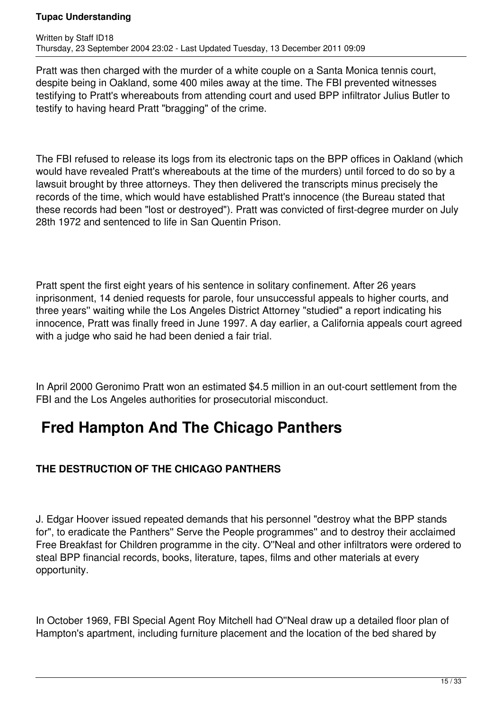Pratt was then charged with the murder of a white couple on a Santa Monica tennis court, despite being in Oakland, some 400 miles away at the time. The FBI prevented witnesses testifying to Pratt's whereabouts from attending court and used BPP infiltrator Julius Butler to testify to having heard Pratt "bragging" of the crime.

The FBI refused to release its logs from its electronic taps on the BPP offices in Oakland (which would have revealed Pratt's whereabouts at the time of the murders) until forced to do so by a lawsuit brought by three attorneys. They then delivered the transcripts minus precisely the records of the time, which would have established Pratt's innocence (the Bureau stated that these records had been "lost or destroyed"). Pratt was convicted of first-degree murder on July 28th 1972 and sentenced to life in San Quentin Prison.

Pratt spent the first eight years of his sentence in solitary confinement. After 26 years inprisonment, 14 denied requests for parole, four unsuccessful appeals to higher courts, and three years'' waiting while the Los Angeles District Attorney "studied" a report indicating his innocence, Pratt was finally freed in June 1997. A day earlier, a California appeals court agreed with a judge who said he had been denied a fair trial.

In April 2000 Geronimo Pratt won an estimated \$4.5 million in an out-court settlement from the FBI and the Los Angeles authorities for prosecutorial misconduct.

# **Fred Hampton And The Chicago Panthers**

### **THE DESTRUCTION OF THE CHICAGO PANTHERS**

J. Edgar Hoover issued repeated demands that his personnel "destroy what the BPP stands for", to eradicate the Panthers'' Serve the People programmes'' and to destroy their acclaimed Free Breakfast for Children programme in the city. O''Neal and other infiltrators were ordered to steal BPP financial records, books, literature, tapes, films and other materials at every opportunity.

In October 1969, FBI Special Agent Roy Mitchell had O''Neal draw up a detailed floor plan of Hampton's apartment, including furniture placement and the location of the bed shared by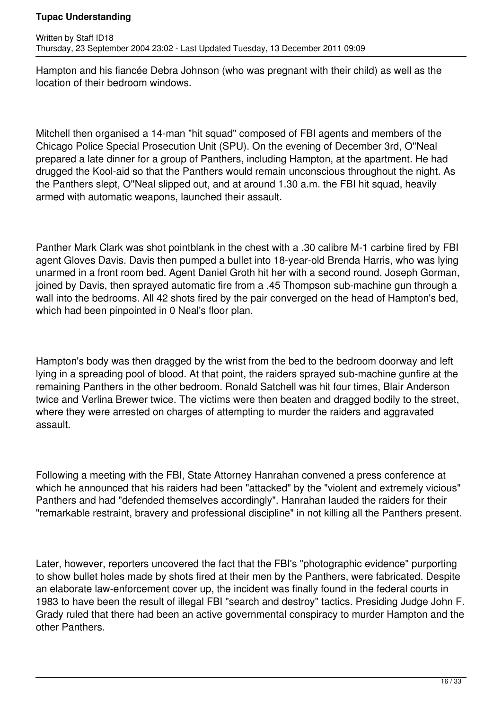Hampton and his fiancée Debra Johnson (who was pregnant with their child) as well as the location of their bedroom windows.

Mitchell then organised a 14-man "hit squad" composed of FBI agents and members of the Chicago Police Special Prosecution Unit (SPU). On the evening of December 3rd, O''Neal prepared a late dinner for a group of Panthers, including Hampton, at the apartment. He had drugged the Kool-aid so that the Panthers would remain unconscious throughout the night. As the Panthers slept, O''Neal slipped out, and at around 1.30 a.m. the FBI hit squad, heavily armed with automatic weapons, launched their assault.

Panther Mark Clark was shot pointblank in the chest with a .30 calibre M-1 carbine fired by FBI agent Gloves Davis. Davis then pumped a bullet into 18-year-old Brenda Harris, who was lying unarmed in a front room bed. Agent Daniel Groth hit her with a second round. Joseph Gorman, joined by Davis, then sprayed automatic fire from a .45 Thompson sub-machine gun through a wall into the bedrooms. All 42 shots fired by the pair converged on the head of Hampton's bed, which had been pinpointed in 0 Neal's floor plan.

Hampton's body was then dragged by the wrist from the bed to the bedroom doorway and left lying in a spreading pool of blood. At that point, the raiders sprayed sub-machine gunfire at the remaining Panthers in the other bedroom. Ronald Satchell was hit four times, Blair Anderson twice and Verlina Brewer twice. The victims were then beaten and dragged bodily to the street, where they were arrested on charges of attempting to murder the raiders and aggravated assault.

Following a meeting with the FBI, State Attorney Hanrahan convened a press conference at which he announced that his raiders had been "attacked" by the "violent and extremely vicious" Panthers and had "defended themselves accordingly". Hanrahan lauded the raiders for their "remarkable restraint, bravery and professional discipline" in not killing all the Panthers present.

Later, however, reporters uncovered the fact that the FBI's "photographic evidence" purporting to show bullet holes made by shots fired at their men by the Panthers, were fabricated. Despite an elaborate law-enforcement cover up, the incident was finally found in the federal courts in 1983 to have been the result of illegal FBI "search and destroy" tactics. Presiding Judge John F. Grady ruled that there had been an active governmental conspiracy to murder Hampton and the other Panthers.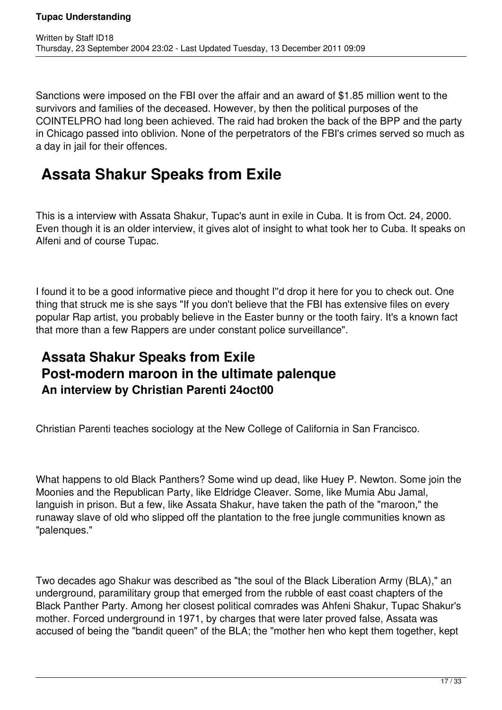Sanctions were imposed on the FBI over the affair and an award of \$1.85 million went to the survivors and families of the deceased. However, by then the political purposes of the COINTELPRO had long been achieved. The raid had broken the back of the BPP and the party in Chicago passed into oblivion. None of the perpetrators of the FBI's crimes served so much as a day in jail for their offences.

# **Assata Shakur Speaks from Exile**

This is a interview with Assata Shakur, Tupac's aunt in exile in Cuba. It is from Oct. 24, 2000. Even though it is an older interview, it gives alot of insight to what took her to Cuba. It speaks on Alfeni and of course Tupac.

I found it to be a good informative piece and thought I''d drop it here for you to check out. One thing that struck me is she says "If you don't believe that the FBI has extensive files on every popular Rap artist, you probably believe in the Easter bunny or the tooth fairy. It's a known fact that more than a few Rappers are under constant police surveillance".

### **Assata Shakur Speaks from Exile Post-modern maroon in the ultimate palenque An interview by Christian Parenti 24oct00**

Christian Parenti teaches sociology at the New College of California in San Francisco.

What happens to old Black Panthers? Some wind up dead, like Huey P. Newton. Some join the Moonies and the Republican Party, like Eldridge Cleaver. Some, like Mumia Abu Jamal, languish in prison. But a few, like Assata Shakur, have taken the path of the "maroon," the runaway slave of old who slipped off the plantation to the free jungle communities known as "palenques."

Two decades ago Shakur was described as "the soul of the Black Liberation Army (BLA)," an underground, paramilitary group that emerged from the rubble of east coast chapters of the Black Panther Party. Among her closest political comrades was Ahfeni Shakur, Tupac Shakur's mother. Forced underground in 1971, by charges that were later proved false, Assata was accused of being the "bandit queen" of the BLA; the "mother hen who kept them together, kept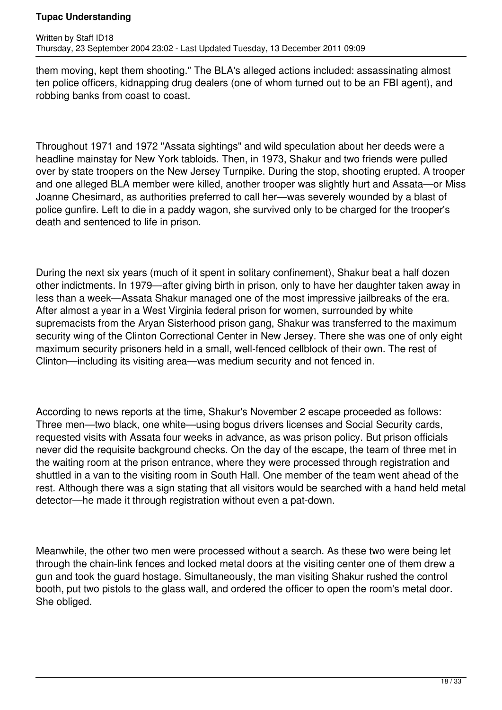them moving, kept them shooting." The BLA's alleged actions included: assassinating almost ten police officers, kidnapping drug dealers (one of whom turned out to be an FBI agent), and robbing banks from coast to coast.

Throughout 1971 and 1972 "Assata sightings" and wild speculation about her deeds were a headline mainstay for New York tabloids. Then, in 1973, Shakur and two friends were pulled over by state troopers on the New Jersey Turnpike. During the stop, shooting erupted. A trooper and one alleged BLA member were killed, another trooper was slightly hurt and Assata—or Miss Joanne Chesimard, as authorities preferred to call her—was severely wounded by a blast of police gunfire. Left to die in a paddy wagon, she survived only to be charged for the trooper's death and sentenced to life in prison.

During the next six years (much of it spent in solitary confinement), Shakur beat a half dozen other indictments. In 1979—after giving birth in prison, only to have her daughter taken away in less than a week—Assata Shakur managed one of the most impressive jailbreaks of the era. After almost a year in a West Virginia federal prison for women, surrounded by white supremacists from the Aryan Sisterhood prison gang, Shakur was transferred to the maximum security wing of the Clinton Correctional Center in New Jersey. There she was one of only eight maximum security prisoners held in a small, well-fenced cellblock of their own. The rest of Clinton—including its visiting area—was medium security and not fenced in.

According to news reports at the time, Shakur's November 2 escape proceeded as follows: Three men—two black, one white—using bogus drivers licenses and Social Security cards, requested visits with Assata four weeks in advance, as was prison policy. But prison officials never did the requisite background checks. On the day of the escape, the team of three met in the waiting room at the prison entrance, where they were processed through registration and shuttled in a van to the visiting room in South Hall. One member of the team went ahead of the rest. Although there was a sign stating that all visitors would be searched with a hand held metal detector—he made it through registration without even a pat-down.

Meanwhile, the other two men were processed without a search. As these two were being let through the chain-link fences and locked metal doors at the visiting center one of them drew a gun and took the guard hostage. Simultaneously, the man visiting Shakur rushed the control booth, put two pistols to the glass wall, and ordered the officer to open the room's metal door. She obliged.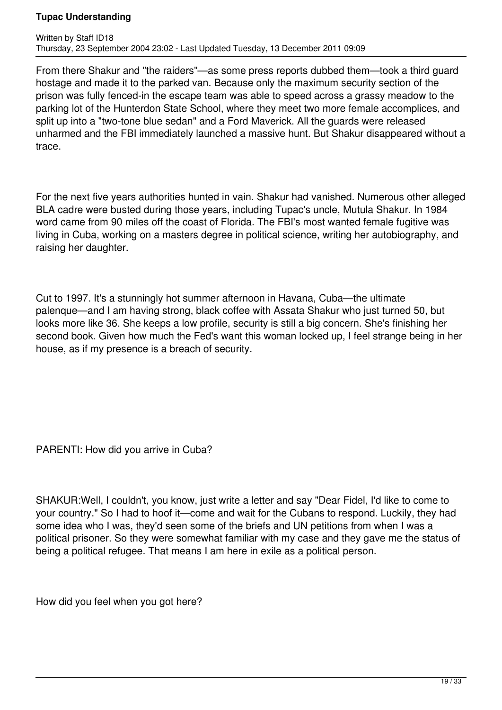From there Shakur and "the raiders"—as some press reports dubbed them—took a third guard hostage and made it to the parked van. Because only the maximum security section of the prison was fully fenced-in the escape team was able to speed across a grassy meadow to the parking lot of the Hunterdon State School, where they meet two more female accomplices, and split up into a "two-tone blue sedan" and a Ford Maverick. All the guards were released unharmed and the FBI immediately launched a massive hunt. But Shakur disappeared without a trace.

For the next five years authorities hunted in vain. Shakur had vanished. Numerous other alleged BLA cadre were busted during those years, including Tupac's uncle, Mutula Shakur. In 1984 word came from 90 miles off the coast of Florida. The FBI's most wanted female fugitive was living in Cuba, working on a masters degree in political science, writing her autobiography, and raising her daughter.

Cut to 1997. It's a stunningly hot summer afternoon in Havana, Cuba—the ultimate palenque—and I am having strong, black coffee with Assata Shakur who just turned 50, but looks more like 36. She keeps a low profile, security is still a big concern. She's finishing her second book. Given how much the Fed's want this woman locked up, I feel strange being in her house, as if my presence is a breach of security.

PARENTI: How did you arrive in Cuba?

SHAKUR:Well, I couldn't, you know, just write a letter and say "Dear Fidel, I'd like to come to your country." So I had to hoof it—come and wait for the Cubans to respond. Luckily, they had some idea who I was, they'd seen some of the briefs and UN petitions from when I was a political prisoner. So they were somewhat familiar with my case and they gave me the status of being a political refugee. That means I am here in exile as a political person.

How did you feel when you got here?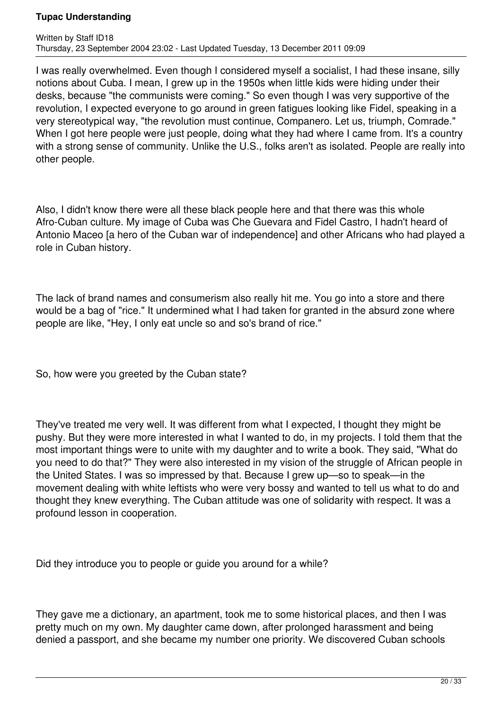I was really overwhelmed. Even though I considered myself a socialist, I had these insane, silly notions about Cuba. I mean, I grew up in the 1950s when little kids were hiding under their desks, because "the communists were coming." So even though I was very supportive of the revolution, I expected everyone to go around in green fatigues looking like Fidel, speaking in a very stereotypical way, "the revolution must continue, Companero. Let us, triumph, Comrade." When I got here people were just people, doing what they had where I came from. It's a country with a strong sense of community. Unlike the U.S., folks aren't as isolated. People are really into other people.

Also, I didn't know there were all these black people here and that there was this whole Afro-Cuban culture. My image of Cuba was Che Guevara and Fidel Castro, I hadn't heard of Antonio Maceo [a hero of the Cuban war of independence] and other Africans who had played a role in Cuban history.

The lack of brand names and consumerism also really hit me. You go into a store and there would be a bag of "rice." It undermined what I had taken for granted in the absurd zone where people are like, "Hey, I only eat uncle so and so's brand of rice."

So, how were you greeted by the Cuban state?

They've treated me very well. It was different from what I expected, I thought they might be pushy. But they were more interested in what I wanted to do, in my projects. I told them that the most important things were to unite with my daughter and to write a book. They said, "What do you need to do that?" They were also interested in my vision of the struggle of African people in the United States. I was so impressed by that. Because I grew up—so to speak—in the movement dealing with white leftists who were very bossy and wanted to tell us what to do and thought they knew everything. The Cuban attitude was one of solidarity with respect. It was a profound lesson in cooperation.

Did they introduce you to people or guide you around for a while?

They gave me a dictionary, an apartment, took me to some historical places, and then I was pretty much on my own. My daughter came down, after prolonged harassment and being denied a passport, and she became my number one priority. We discovered Cuban schools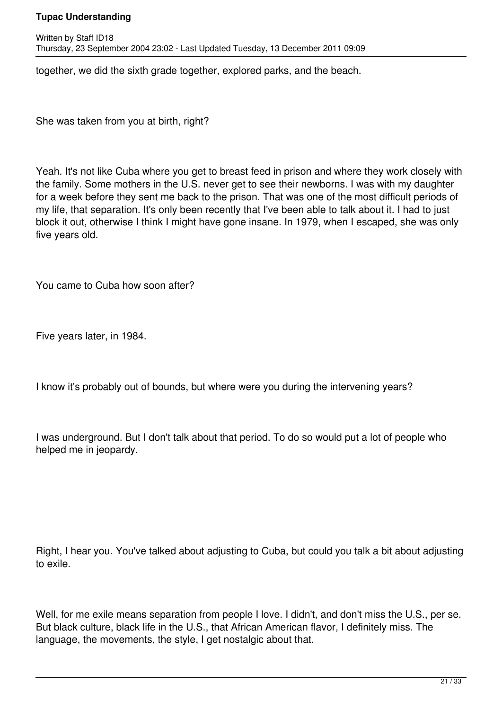together, we did the sixth grade together, explored parks, and the beach.

She was taken from you at birth, right?

Yeah. It's not like Cuba where you get to breast feed in prison and where they work closely with the family. Some mothers in the U.S. never get to see their newborns. I was with my daughter for a week before they sent me back to the prison. That was one of the most difficult periods of my life, that separation. It's only been recently that I've been able to talk about it. I had to just block it out, otherwise I think I might have gone insane. In 1979, when I escaped, she was only five years old.

You came to Cuba how soon after?

Five years later, in 1984.

I know it's probably out of bounds, but where were you during the intervening years?

I was underground. But I don't talk about that period. To do so would put a lot of people who helped me in jeopardy.

Right, I hear you. You've talked about adjusting to Cuba, but could you talk a bit about adjusting to exile.

Well, for me exile means separation from people I love. I didn't, and don't miss the U.S., per se. But black culture, black life in the U.S., that African American flavor, I definitely miss. The language, the movements, the style, I get nostalgic about that.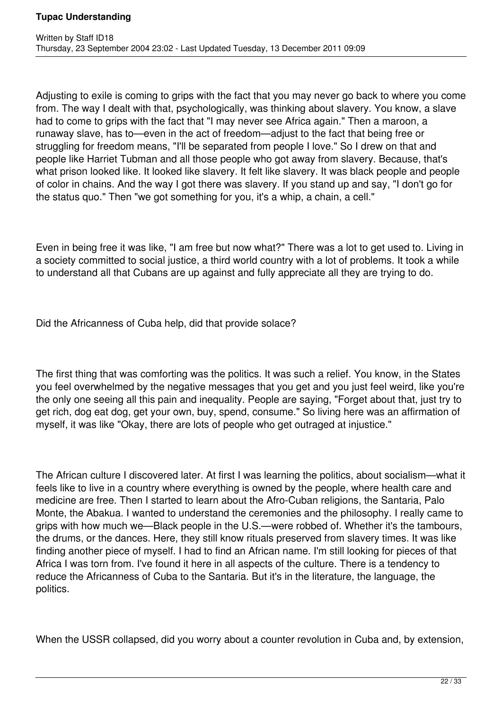Adjusting to exile is coming to grips with the fact that you may never go back to where you come from. The way I dealt with that, psychologically, was thinking about slavery. You know, a slave had to come to grips with the fact that "I may never see Africa again." Then a maroon, a runaway slave, has to—even in the act of freedom—adjust to the fact that being free or struggling for freedom means, "I'll be separated from people I love." So I drew on that and people like Harriet Tubman and all those people who got away from slavery. Because, that's what prison looked like. It looked like slavery. It felt like slavery. It was black people and people of color in chains. And the way I got there was slavery. If you stand up and say, "I don't go for the status quo." Then "we got something for you, it's a whip, a chain, a cell."

Even in being free it was like, "I am free but now what?" There was a lot to get used to. Living in a society committed to social justice, a third world country with a lot of problems. It took a while to understand all that Cubans are up against and fully appreciate all they are trying to do.

Did the Africanness of Cuba help, did that provide solace?

The first thing that was comforting was the politics. It was such a relief. You know, in the States you feel overwhelmed by the negative messages that you get and you just feel weird, like you're the only one seeing all this pain and inequality. People are saying, "Forget about that, just try to get rich, dog eat dog, get your own, buy, spend, consume." So living here was an affirmation of myself, it was like "Okay, there are lots of people who get outraged at injustice."

The African culture I discovered later. At first I was learning the politics, about socialism—what it feels like to live in a country where everything is owned by the people, where health care and medicine are free. Then I started to learn about the Afro-Cuban religions, the Santaria, Palo Monte, the Abakua. I wanted to understand the ceremonies and the philosophy. I really came to grips with how much we—Black people in the U.S.—were robbed of. Whether it's the tambours, the drums, or the dances. Here, they still know rituals preserved from slavery times. It was like finding another piece of myself. I had to find an African name. I'm still looking for pieces of that Africa I was torn from. I've found it here in all aspects of the culture. There is a tendency to reduce the Africanness of Cuba to the Santaria. But it's in the literature, the language, the politics.

When the USSR collapsed, did you worry about a counter revolution in Cuba and, by extension,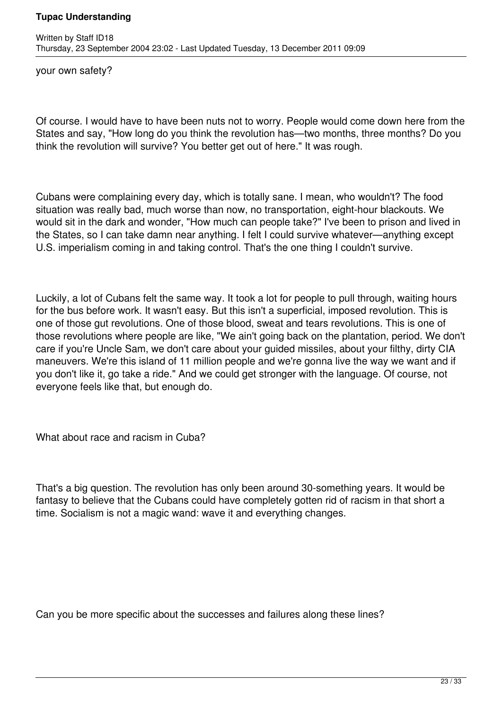your own safety?

Of course. I would have to have been nuts not to worry. People would come down here from the States and say, "How long do you think the revolution has—two months, three months? Do you think the revolution will survive? You better get out of here." It was rough.

Cubans were complaining every day, which is totally sane. I mean, who wouldn't? The food situation was really bad, much worse than now, no transportation, eight-hour blackouts. We would sit in the dark and wonder, "How much can people take?" I've been to prison and lived in the States, so I can take damn near anything. I felt I could survive whatever—anything except U.S. imperialism coming in and taking control. That's the one thing I couldn't survive.

Luckily, a lot of Cubans felt the same way. It took a lot for people to pull through, waiting hours for the bus before work. It wasn't easy. But this isn't a superficial, imposed revolution. This is one of those gut revolutions. One of those blood, sweat and tears revolutions. This is one of those revolutions where people are like, "We ain't going back on the plantation, period. We don't care if you're Uncle Sam, we don't care about your guided missiles, about your filthy, dirty CIA maneuvers. We're this island of 11 million people and we're gonna live the way we want and if you don't like it, go take a ride." And we could get stronger with the language. Of course, not everyone feels like that, but enough do.

What about race and racism in Cuba?

That's a big question. The revolution has only been around 30-something years. It would be fantasy to believe that the Cubans could have completely gotten rid of racism in that short a time. Socialism is not a magic wand: wave it and everything changes.

Can you be more specific about the successes and failures along these lines?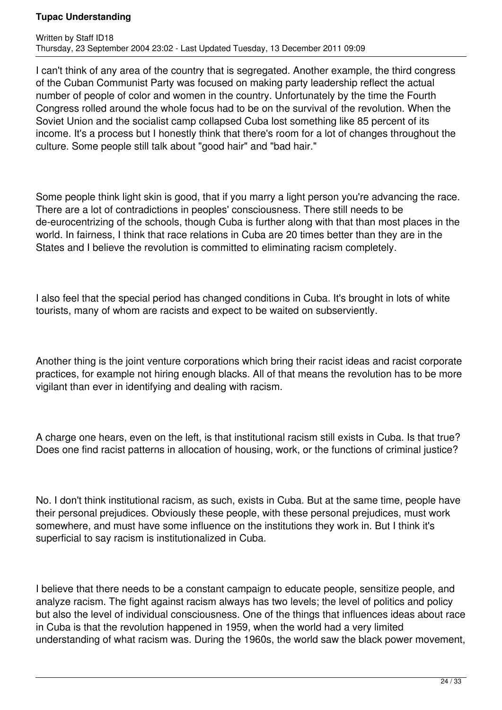I can't think of any area of the country that is segregated. Another example, the third congress of the Cuban Communist Party was focused on making party leadership reflect the actual number of people of color and women in the country. Unfortunately by the time the Fourth Congress rolled around the whole focus had to be on the survival of the revolution. When the Soviet Union and the socialist camp collapsed Cuba lost something like 85 percent of its income. It's a process but I honestly think that there's room for a lot of changes throughout the culture. Some people still talk about "good hair" and "bad hair."

Some people think light skin is good, that if you marry a light person you're advancing the race. There are a lot of contradictions in peoples' consciousness. There still needs to be de-eurocentrizing of the schools, though Cuba is further along with that than most places in the world. In fairness, I think that race relations in Cuba are 20 times better than they are in the States and I believe the revolution is committed to eliminating racism completely.

I also feel that the special period has changed conditions in Cuba. It's brought in lots of white tourists, many of whom are racists and expect to be waited on subserviently.

Another thing is the joint venture corporations which bring their racist ideas and racist corporate practices, for example not hiring enough blacks. All of that means the revolution has to be more vigilant than ever in identifying and dealing with racism.

A charge one hears, even on the left, is that institutional racism still exists in Cuba. Is that true? Does one find racist patterns in allocation of housing, work, or the functions of criminal justice?

No. I don't think institutional racism, as such, exists in Cuba. But at the same time, people have their personal prejudices. Obviously these people, with these personal prejudices, must work somewhere, and must have some influence on the institutions they work in. But I think it's superficial to say racism is institutionalized in Cuba.

I believe that there needs to be a constant campaign to educate people, sensitize people, and analyze racism. The fight against racism always has two levels; the level of politics and policy but also the level of individual consciousness. One of the things that influences ideas about race in Cuba is that the revolution happened in 1959, when the world had a very limited understanding of what racism was. During the 1960s, the world saw the black power movement,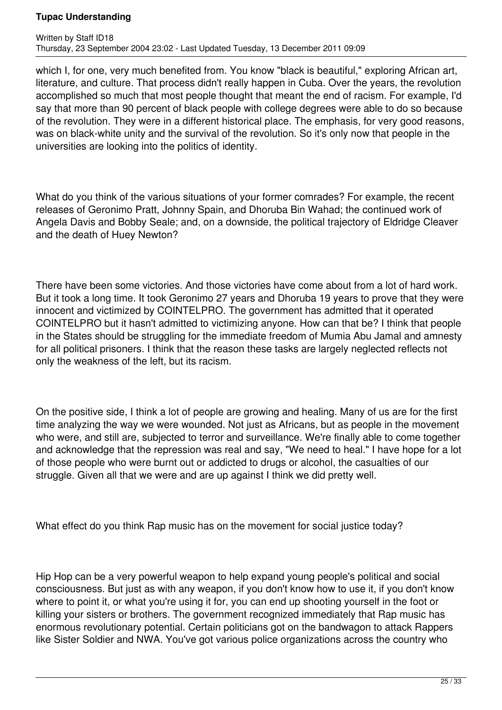which I, for one, very much benefited from. You know "black is beautiful," exploring African art, literature, and culture. That process didn't really happen in Cuba. Over the years, the revolution accomplished so much that most people thought that meant the end of racism. For example, I'd say that more than 90 percent of black people with college degrees were able to do so because of the revolution. They were in a different historical place. The emphasis, for very good reasons, was on black-white unity and the survival of the revolution. So it's only now that people in the universities are looking into the politics of identity.

What do you think of the various situations of your former comrades? For example, the recent releases of Geronimo Pratt, Johnny Spain, and Dhoruba Bin Wahad; the continued work of Angela Davis and Bobby Seale; and, on a downside, the political trajectory of Eldridge Cleaver and the death of Huey Newton?

There have been some victories. And those victories have come about from a lot of hard work. But it took a long time. It took Geronimo 27 years and Dhoruba 19 years to prove that they were innocent and victimized by COINTELPRO. The government has admitted that it operated COINTELPRO but it hasn't admitted to victimizing anyone. How can that be? I think that people in the States should be struggling for the immediate freedom of Mumia Abu Jamal and amnesty for all political prisoners. I think that the reason these tasks are largely neglected reflects not only the weakness of the left, but its racism.

On the positive side, I think a lot of people are growing and healing. Many of us are for the first time analyzing the way we were wounded. Not just as Africans, but as people in the movement who were, and still are, subjected to terror and surveillance. We're finally able to come together and acknowledge that the repression was real and say, "We need to heal." I have hope for a lot of those people who were burnt out or addicted to drugs or alcohol, the casualties of our struggle. Given all that we were and are up against I think we did pretty well.

What effect do you think Rap music has on the movement for social justice today?

Hip Hop can be a very powerful weapon to help expand young people's political and social consciousness. But just as with any weapon, if you don't know how to use it, if you don't know where to point it, or what you're using it for, you can end up shooting yourself in the foot or killing your sisters or brothers. The government recognized immediately that Rap music has enormous revolutionary potential. Certain politicians got on the bandwagon to attack Rappers like Sister Soldier and NWA. You've got various police organizations across the country who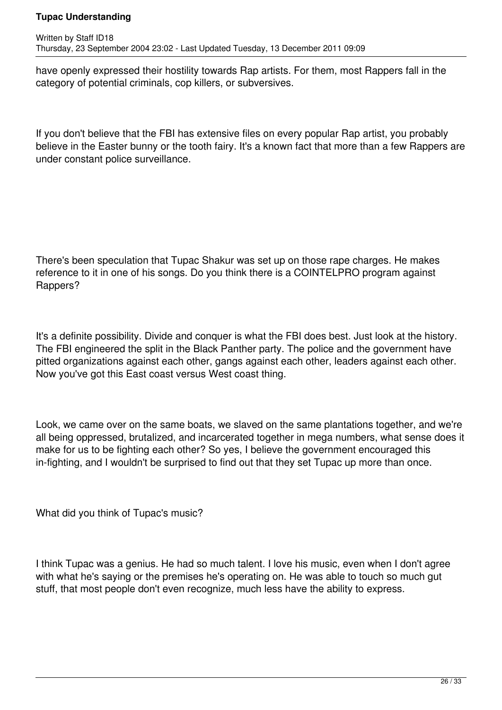have openly expressed their hostility towards Rap artists. For them, most Rappers fall in the category of potential criminals, cop killers, or subversives.

If you don't believe that the FBI has extensive files on every popular Rap artist, you probably believe in the Easter bunny or the tooth fairy. It's a known fact that more than a few Rappers are under constant police surveillance.

There's been speculation that Tupac Shakur was set up on those rape charges. He makes reference to it in one of his songs. Do you think there is a COINTELPRO program against Rappers?

It's a definite possibility. Divide and conquer is what the FBI does best. Just look at the history. The FBI engineered the split in the Black Panther party. The police and the government have pitted organizations against each other, gangs against each other, leaders against each other. Now you've got this East coast versus West coast thing.

Look, we came over on the same boats, we slaved on the same plantations together, and we're all being oppressed, brutalized, and incarcerated together in mega numbers, what sense does it make for us to be fighting each other? So yes, I believe the government encouraged this in-fighting, and I wouldn't be surprised to find out that they set Tupac up more than once.

What did you think of Tupac's music?

I think Tupac was a genius. He had so much talent. I love his music, even when I don't agree with what he's saying or the premises he's operating on. He was able to touch so much gut stuff, that most people don't even recognize, much less have the ability to express.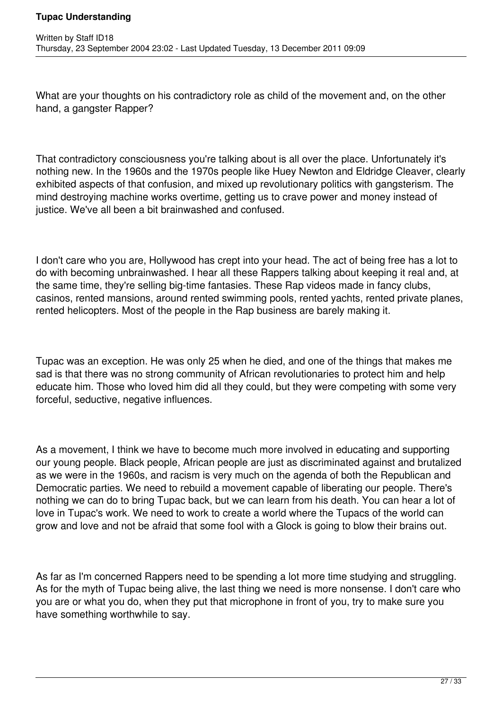What are your thoughts on his contradictory role as child of the movement and, on the other hand, a gangster Rapper?

That contradictory consciousness you're talking about is all over the place. Unfortunately it's nothing new. In the 1960s and the 1970s people like Huey Newton and Eldridge Cleaver, clearly exhibited aspects of that confusion, and mixed up revolutionary politics with gangsterism. The mind destroying machine works overtime, getting us to crave power and money instead of justice. We've all been a bit brainwashed and confused.

I don't care who you are, Hollywood has crept into your head. The act of being free has a lot to do with becoming unbrainwashed. I hear all these Rappers talking about keeping it real and, at the same time, they're selling big-time fantasies. These Rap videos made in fancy clubs, casinos, rented mansions, around rented swimming pools, rented yachts, rented private planes, rented helicopters. Most of the people in the Rap business are barely making it.

Tupac was an exception. He was only 25 when he died, and one of the things that makes me sad is that there was no strong community of African revolutionaries to protect him and help educate him. Those who loved him did all they could, but they were competing with some very forceful, seductive, negative influences.

As a movement, I think we have to become much more involved in educating and supporting our young people. Black people, African people are just as discriminated against and brutalized as we were in the 1960s, and racism is very much on the agenda of both the Republican and Democratic parties. We need to rebuild a movement capable of liberating our people. There's nothing we can do to bring Tupac back, but we can learn from his death. You can hear a lot of love in Tupac's work. We need to work to create a world where the Tupacs of the world can grow and love and not be afraid that some fool with a Glock is going to blow their brains out.

As far as I'm concerned Rappers need to be spending a lot more time studying and struggling. As for the myth of Tupac being alive, the last thing we need is more nonsense. I don't care who you are or what you do, when they put that microphone in front of you, try to make sure you have something worthwhile to say.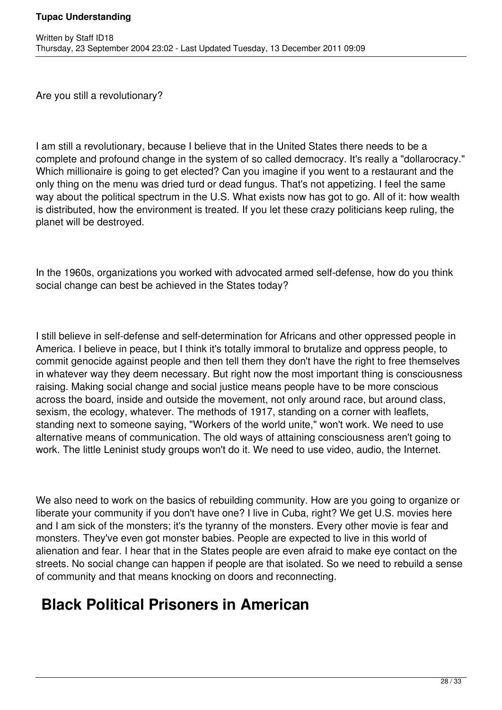Are you still a revolutionary?

I am still a revolutionary, because I believe that in the United States there needs to be a complete and profound change in the system of so called democracy. It's really a "dollarocracy." Which millionaire is going to get elected? Can you imagine if you went to a restaurant and the only thing on the menu was dried turd or dead fungus. That's not appetizing. I feel the same way about the political spectrum in the U.S. What exists now has got to go. All of it: how wealth is distributed, how the environment is treated. If you let these crazy politicians keep ruling, the planet will be destroyed.

In the 1960s, organizations you worked with advocated armed self-defense, how do you think social change can best be achieved in the States today?

I still believe in self-defense and self-determination for Africans and other oppressed people in America. I believe in peace, but I think it's totally immoral to brutalize and oppress people, to commit genocide against people and then tell them they don't have the right to free themselves in whatever way they deem necessary. But right now the most important thing is consciousness raising. Making social change and social justice means people have to be more conscious across the board, inside and outside the movement, not only around race, but around class, sexism, the ecology, whatever. The methods of 1917, standing on a corner with leaflets, standing next to someone saying, "Workers of the world unite," won't work. We need to use alternative means of communication. The old ways of attaining consciousness aren't going to work. The little Leninist study groups won't do it. We need to use video, audio, the Internet.

We also need to work on the basics of rebuilding community. How are you going to organize or liberate your community if you don't have one? I live in Cuba, right? We get U.S. movies here and I am sick of the monsters; it's the tyranny of the monsters. Every other movie is fear and monsters. They've even got monster babies. People are expected to live in this world of alienation and fear. I hear that in the States people are even afraid to make eye contact on the streets. No social change can happen if people are that isolated. So we need to rebuild a sense of community and that means knocking on doors and reconnecting.

# **Black Political Prisoners in American**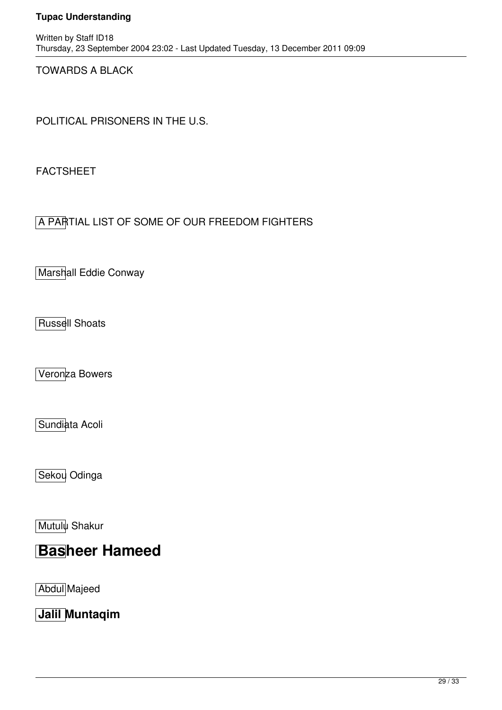TOWARDS A BLACK

POLITICAL PRISONERS IN THE U.S.

FACTSHEET

A PARTIAL LIST OF SOME OF OUR FREEDOM FIGHTERS

Marshall Eddie Conway

Russell Shoats

Veronza Bowers

Sundiata Acoli

Sekou Odinga

Mutulu Shakur

# **Basheer Hameed**

Abdul Majeed

**Jalil Muntaqim**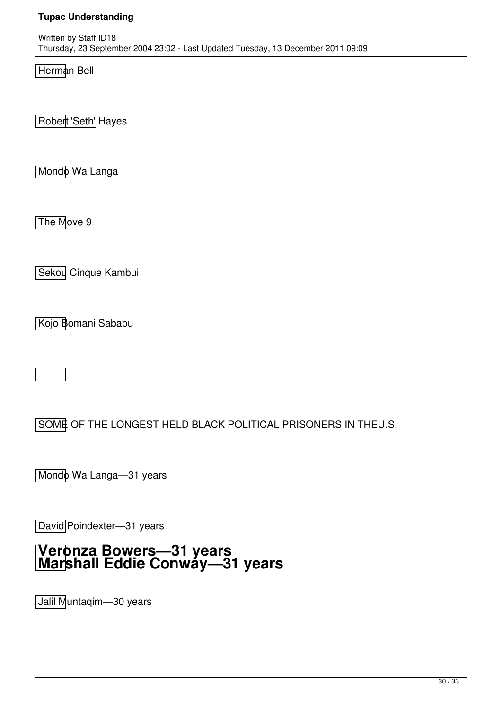Herman Bell

Robert 'Seth' Hayes

Mondo Wa Langa

The Move 9

Sekou Cinque Kambui

Kojo Bomani Sababu

SOME OF THE LONGEST HELD BLACK POLITICAL PRISONERS IN THEU.S.

Mondo Wa Langa-31 years

David Poindexter—31 years

### **Veronza Bowers—31 years Marshall Eddie Conway—31 years**

Jalil Muntaqim—30 years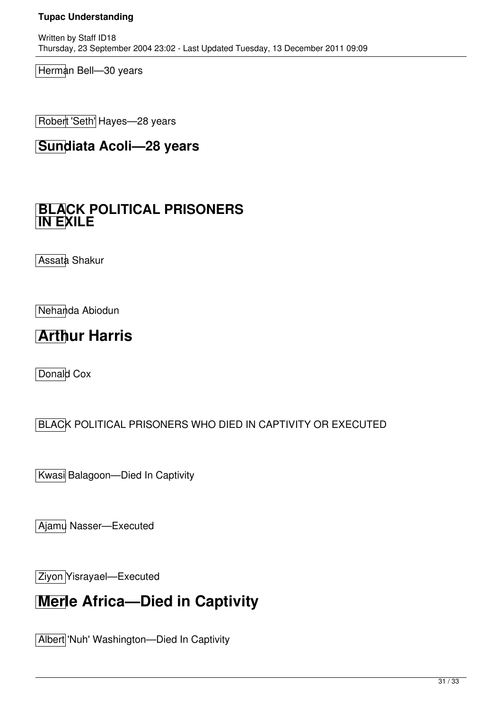Herman Bell—30 years

Robert 'Seth' Hayes—28 years

### **Sundiata Acoli—28 years**

### **BLACK POLITICAL PRISONERS IN EXILE**

Assata Shakur

Nehanda Abiodun

## **Arthur Harris**

Donald Cox

### BLACK POLITICAL PRISONERS WHO DIED IN CAPTIVITY OR EXECUTED

Kwasi Balagoon—Died In Captivity

Ajamu Nasser—Executed

Ziyon Yisrayael—Executed

# **Merle Africa—Died in Captivity**

Albert 'Nuh' Washington—Died In Captivity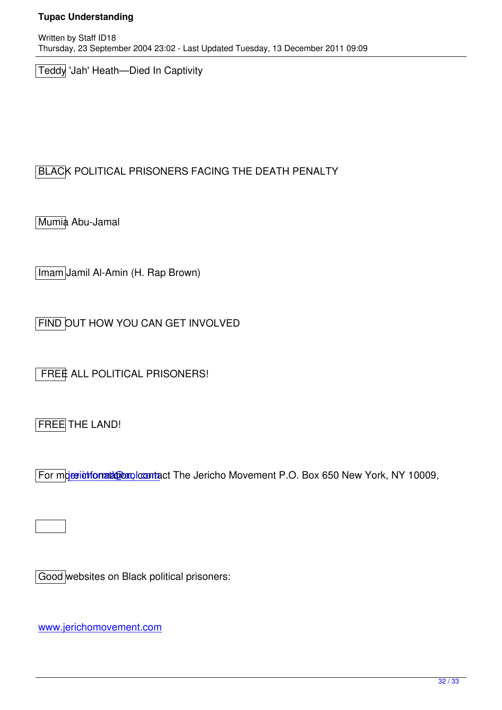Teddy 'Jah' Heath—Died In Captivity

### BLACK POLITICAL PRISONERS FACING THE DEATH PENALTY

Mumia Abu-Jamal

Imam Jamil Al-Amin (H. Rap Brown)

FIND OUT HOW YOU CAN GET INVOLVED

FREE ALL POLITICAL PRISONERS!

FREE THE LAND!

For more information, contact The Jericho Movement P.O. Box 650 New York, NY 10009,

Good websites on Black political prisoners:

www.jerichomovement.com